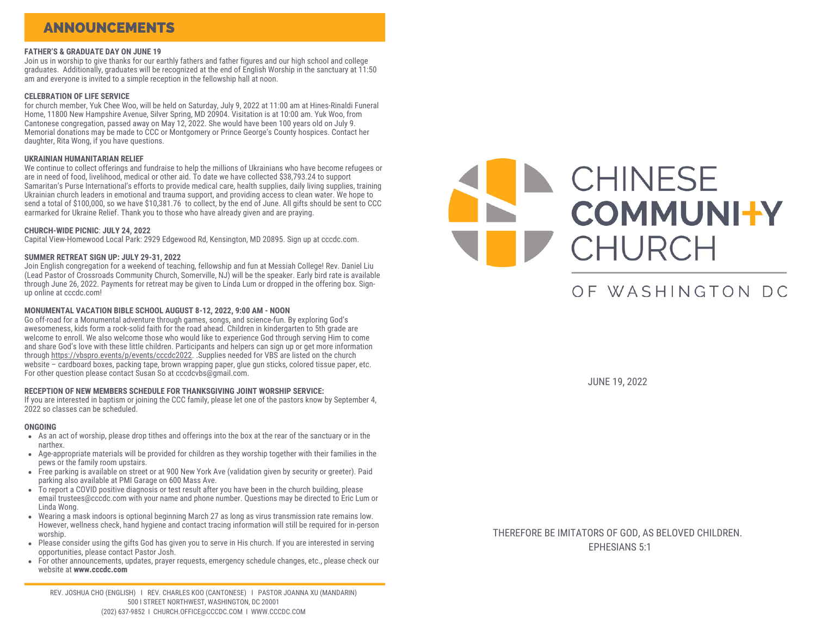### ANNOUNCEMENTS

### **FATHER'S & GRADUATE DAY ON JUNE 19**

Join us in worship to give thanks for our earthly fathers and father figures and our high school and college graduates. Additionally, graduates will be recognized at the end of English Worship in the sanctuary at 11:50 am and everyone is invited to a simple reception in the fellowship hall at noon.

#### **CELEBRATION OF LIFE SERVICE**

for church member, Yuk Chee Woo, will be held on Saturday, July 9, 2022 at 11:00 am at Hines-Rinaldi Funeral Home, 11800 New Hampshire Avenue, Silver Spring, MD 20904. Visitation is at 10:00 am. Yuk Woo, from Cantonese congregation, passed away on May 12, 2022. She would have been 100 years old on July 9. Memorial donations may be made to CCC or Montgomery or Prince George's County hospices. Contact her daughter, Rita Wong, if you have questions.

### **UKRAINIAN HUMANITARIAN RELIEF**

We continue to collect offerings and fundraise to help the millions of Ukrainians who have become refugees or are in need of food, livelihood, medical or other aid. To date we have collected \$38,793.24 to support Samaritan's Purse International's efforts to provide medical care, health supplies, daily living supplies, training Ukrainian church leaders in emotional and trauma support, and providing access to clean water. We hope to send a total of \$100,000, so we have \$10,381.76 to collect, by the end of June. All gifts should be sent to CCC earmarked for Ukraine Relief. Thank you to those who have already given and are praying.

### **CHURCH-WIDE PICNIC**: **JULY 24, 2022**

Capital View-Homewood Local Park: 2929 Edgewood Rd, Kensington, MD 20895. Sign up at cccdc.com.

### **SUMMER RETREAT SIGN UP: JULY 29-31, 2022**

Join English congregation for a weekend of teaching, fellowship and fun at Messiah College! Rev. Daniel Liu (Lead Pastor of Crossroads Community Church, Somerville, NJ) will be the speaker. Early bird rate is available through June 26, 2022. Payments for retreat may be given to Linda Lum or dropped in the offering box. Signup online at cccdc.com!

#### **MONUMENTAL VACATION BIBLE SCHOOL AUGUST 8-12, 2022, 9:00 AM - NOON**

Go off-road for a Monumental adventure through games, songs, and science-fun. By exploring God's awesomeness, kids form a rock-solid faith for the road ahead. Children in kindergarten to 5th grade are welcome to enroll. We also welcome those who would like to experience God through serving Him to come and share God's love with these little children. Participants and helpers can sign up or get more information through [https://vbspro.events/p/events/cccdc2022](https://vbspro.events/p/cccdc2022). .Supplies needed for VBS are listed on the church website – cardboard boxes, packing tape, brown wrapping paper, glue gun sticks, colored tissue paper, etc. For other question please contact Susan So at cccdcvbs@gmail.com.

#### **RECEPTION OF NEW MEMBERS SCHEDULE FOR THANKSGIVING JOINT WORSHIP SERVICE:**

If you are interested in baptism or joining the CCC family, please let one of the pastors know by September 4, 2022 so classes can be scheduled.

#### **ONGOING**

- As an act of worship, please drop tithes and offerings into the box at the rear of the sanctuary or in the narthex.
- Age-appropriate materials will be provided for children as they worship together with their families in the pews or the family room upstairs.
- Free parking is available on street or at 900 New York Ave (validation given by security or greeter). Paid parking also available at PMI Garage on 600 Mass Ave.
- To report a COVID positive diagnosis or test result after you have been in the church building, please email [trustees@cccdc.com](mailto:trustees@cccdc.com) with your name and phone number. Questions may be directed to Eric Lum or Linda Wong.
- Wearing a mask indoors is optional beginning March 27 as long as virus transmission rate remains low. However, wellness check, hand hygiene and contact tracing information will still be required for in-person worship.
- Please consider using the gifts God has given you to serve in His church. If you are interested in serving opportunities, please contact Pastor Josh.
- For other announcements, updates, prayer requests, emergency schedule changes, etc., please check our website at **[www.cccdc.com](http://www.cccdc.com/)**

REV. JOSHUA CHO (ENGLISH) I REV. CHARLES KOO (CANTONESE) I PASTOR JOANNA XU (MANDARIN) 500 I STREET NORTHWEST, WASHINGTON, DC 20001 (202) 637-9852 I CHURCH.OFFICE@CCCDC.COM I WWW.CCCDC.COM



# OF WASHINGTON DC

JUNE 19, 2022

THEREFORE BE IMITATORS OF GOD, AS BELOVED CHILDREN. EPHESIANS 5:1